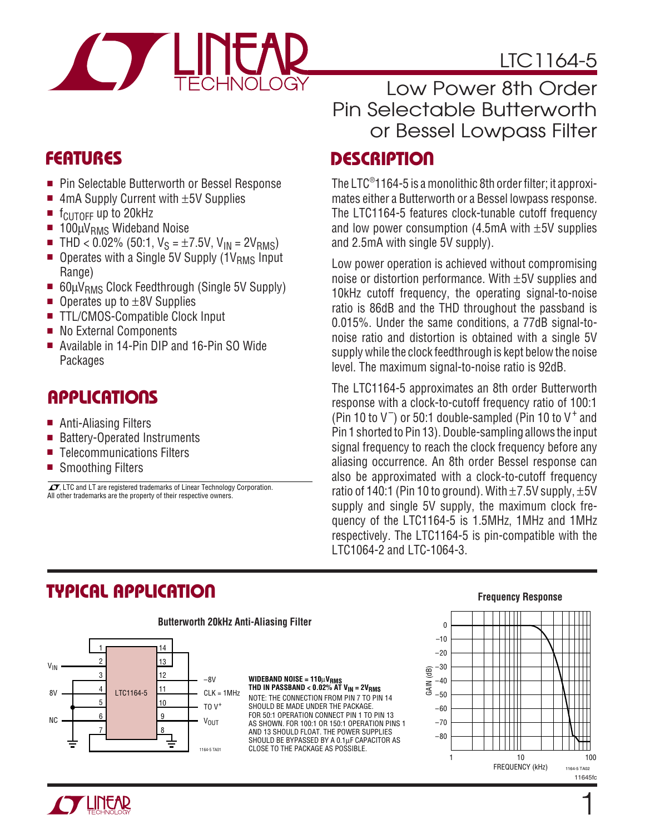



# **FEATURES**

- Pin Selectable Butterworth or Bessel Response
- $\blacksquare$  4mA Supply Current with  $\pm 5V$  Supplies
- f<sub>CUTOFF</sub> up to 20kHz
- 100µV<sub>RMS</sub> Wideband Noise<br>■ THD < 0.02% (50:1. Vs = ±7
- THD < 0.02% (50:1,  $V_S = \pm 7.5V$ ,  $V_{IN} = 2V_{RMS}$ )
- $\blacksquare$  Operates with a Single 5V Supply (1V<sub>RMS</sub> Input Range)
- 60µV<sub>RMS</sub> Clock Feedthrough (Single 5V Supply)
- $\blacksquare$  Operates up to  $\pm$ 8V Supplies
- TTL/CMOS-Compatible Clock Input
- No External Components
- Available in 14-Pin DIP and 16-Pin SO Wide **Packages**

### **APPLICATIONS**

- Anti-Aliasing Filters
- Battery-Operated Instruments
- Telecommunications Filters
- Smoothing Filters

 $\overline{\mathcal{I}\mathcal{I}}$ , LTC and LT are registered trademarks of Linear Technology Corporation. All other trademarks are the property of their respective owners.

# Low Power 8th Order Pin Selectable Butterworth or Bessel Lowpass Filter

### **DESCRIPTION**

The LTC® 1164-5 is a monolithic 8th order filter; it approximates either a Butterworth or a Bessel lowpass response. The LTC1164-5 features clock-tunable cutoff frequency and low power consumption  $(4.5mA$  with  $\pm 5V$  supplies and 2.5mA with single 5V supply).

Low power operation is achieved without compromising noise or distortion performance. With ±5V supplies and 10kHz cutoff frequency, the operating signal-to-noise ratio is 86dB and the THD throughout the passband is 0.015%. Under the same conditions, a 77dB signal-tonoise ratio and distortion is obtained with a single 5V supply while the clock feedthrough is kept below the noise level. The maximum signal-to-noise ratio is 92dB.

The LTC1164-5 approximates an 8th order Butterworth response with a clock-to-cutoff frequency ratio of 100:1 (Pin 10 to  $V^-$ ) or 50:1 double-sampled (Pin 10 to  $V^+$  and Pin 1 shorted to Pin 13). Double-sampling allows the input signal frequency to reach the clock frequency before any aliasing occurrence. An 8th order Bessel response can also be approximated with a clock-to-cutoff frequency ratio of 140:1 (Pin 10 to ground). With  $\pm$  7.5V supply,  $\pm$ 5V supply and single 5V supply, the maximum clock frequency of the LTC1164-5 is 1.5MHz, 1MHz and 1MHz respectively. The LTC1164-5 is pin-compatible with the LTC1064-2 and LTC-1064-3.

### **TYPICAL APPLICATIO U**



#### **Butterworth 20kHz Anti-Aliasing Filter**

**WIDEBAND NOISE = 110**µ**VRMS THD IN PASSBAND < 0.02% AT VIN = 2VRMS** NOTE: THE CONNECTION FROM PIN 7 TO PIN 14 SHOULD BE MADE UNDER THE PACKAGE. FOR 50:1 OPERATION CONNECT PIN 1 TO PIN 13 AS SHOWN. FOR 100:1 OR 150:1 OPERATION PINS 1 AND 13 SHOULD FLOAT. THE POWER SUPPLIES SHOULD BE BYPASSED BY A 0.1µF CAPACITOR AS 1164-5 TA01 CLOSE TO THE PACKAGE AS POSSIBLE.

#### **Frequency Response**



1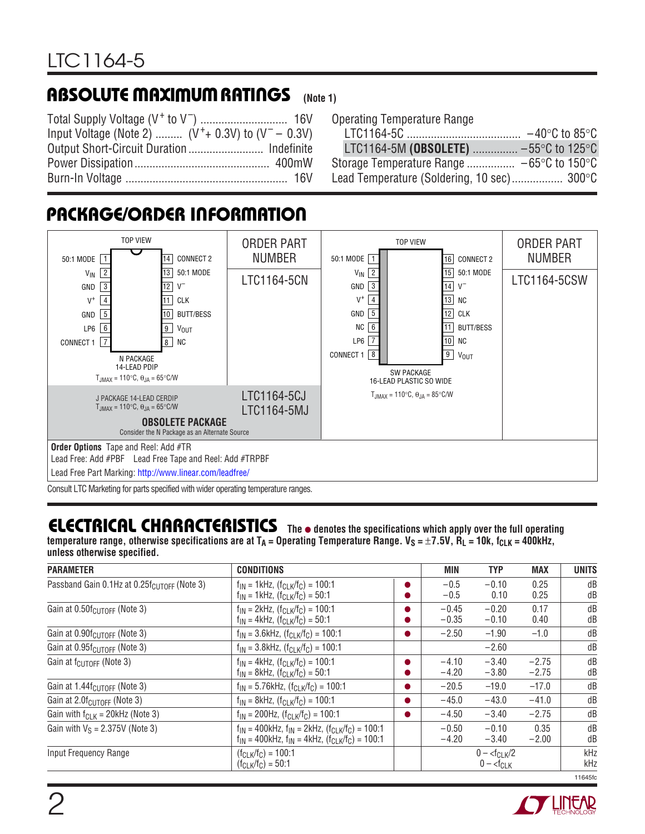### **ABSOLUTE MAXIMUM RATINGS** (Note 1)

| Input Voltage (Note 2) $(V^+ + 0.3V)$ to $(V^- - 0.3V)$ |  |
|---------------------------------------------------------|--|
|                                                         |  |
|                                                         |  |
|                                                         |  |

|  | <b>Operating Temperature Range</b> |  |
|--|------------------------------------|--|
|--|------------------------------------|--|

| LTC1164-5M (OBSOLETE)  -55°C to 125°C                         |  |
|---------------------------------------------------------------|--|
| Storage Temperature Range $-65^{\circ}$ C to 150 $^{\circ}$ C |  |
| Lead Temperature (Soldering, 10 sec) 300°C                    |  |

# **PACKAGE/ORDER INFORMATION**



Consult LTC Marketing for parts specified with wider operating temperature ranges.

### **ELECTRICAL CHARACTERISTICS The** ● **denotes the specifications which apply over the full operating**

temperature range, otherwise specifications are at T<sub>A</sub> = Operating Temperature Range. V<sub>S</sub> = ±7.5V, R<sub>L</sub> = 10k, f<sub>CLK</sub> = 400kHz, **unless otherwise specified.**

| <b>PARAMETER</b>                                        | <b>CONDITIONS</b>                                                                                                          | MIN                | <b>TYP</b>         | <b>MAX</b>         | <b>UNITS</b> |
|---------------------------------------------------------|----------------------------------------------------------------------------------------------------------------------------|--------------------|--------------------|--------------------|--------------|
| Passband Gain 0.1Hz at 0.25f <sub>CUTOFF</sub> (Note 3) | $f_{IN}$ = 1kHz, $(f_{CLK}/f_C)$ = 100:1<br>$f_{IN}$ = 1kHz, $(f_{CLK}/f_C)$ = 50:1                                        | $-0.5$<br>$-0.5$   | $-0.10$<br>0.10    | 0.25<br>0.25       | dB<br>dB     |
| Gain at 0.50f <sub>CUTOFF</sub> (Note 3)                | $f_{IN}$ = 2kHz, $(f_{CLK}/f_C)$ = 100:1<br>$f_{IN}$ = 4kHz, $(f_{CLK}/f_C)$ = 50:1                                        | $-0.45$<br>$-0.35$ | $-0.20$<br>$-0.10$ | 0.17<br>0.40       | dB<br>dB     |
| Gain at 0.90f <sub>CUTOFF</sub> (Note 3)                | $f_{IN}$ = 3.6kHz, $(f_{CLK}/f_C)$ = 100:1                                                                                 | $-2.50$            | $-1.90$            | $-1.0$             | dB           |
| Gain at $0.95f_{\text{CUTOFF}}$ (Note 3)                | $f_{IN}$ = 3.8kHz, $(f_{CLK}/f_C)$ = 100:1                                                                                 |                    | $-2.60$            |                    | dB           |
| Gain at $f_{\text{CUTOFF}}$ (Note 3)                    | $f_{IN}$ = 4kHz, $(f_{CLK}/f_C)$ = 100:1<br>$f_{IN}$ = 8kHz, $(f_{CLK}/f_C)$ = 50:1                                        | $-4.10$<br>$-4.20$ | $-3.40$<br>$-3.80$ | $-2.75$<br>$-2.75$ | dB<br>dB     |
| Gain at 1.44f <sub>CUTOFF</sub> (Note 3)                | $f_{IN} = 5.76kHz$ , $(f_{CLK}/f_C) = 100:1$                                                                               | $-20.5$            | $-19.0$            | $-17.0$            | dB           |
| Gain at $2.0f_{\text{CUTOFF}}$ (Note 3)                 | $f_{IN}$ = 8kHz, $(f_{CLK}/f_C)$ = 100:1                                                                                   | $-45.0$            | $-43.0$            | $-41.0$            | dB           |
| Gain with $f_{CLK} = 20kHz$ (Note 3)                    | $f_{IN}$ = 200Hz, $(f_{CLK}/f_C)$ = 100:1                                                                                  | $-4.50$            | $-3.40$            | $-2.75$            | dB           |
| Gain with $V_S = 2.375V$ (Note 3)                       | $f_{IN}$ = 400kHz, $f_{IN}$ = 2kHz, $(f_{CLK}/f_C)$ = 100:1<br>$f_{IN}$ = 400kHz, $f_{IN}$ = 4kHz, $(f_{CLK}/f_C)$ = 100:1 | $-0.50$<br>$-4.20$ | $-0.10$<br>$-3.40$ | 0.35<br>$-2.00$    | dB<br>dB     |
| Input Frequency Range                                   | $(f_{CLK}/f_C) = 100:1$<br>$(f_{CLK}/f_C) = 50:1$                                                                          |                    | $0 - 0 - fCLK$     |                    | kHz<br>kHz   |
|                                                         |                                                                                                                            |                    |                    |                    | 11645fc      |

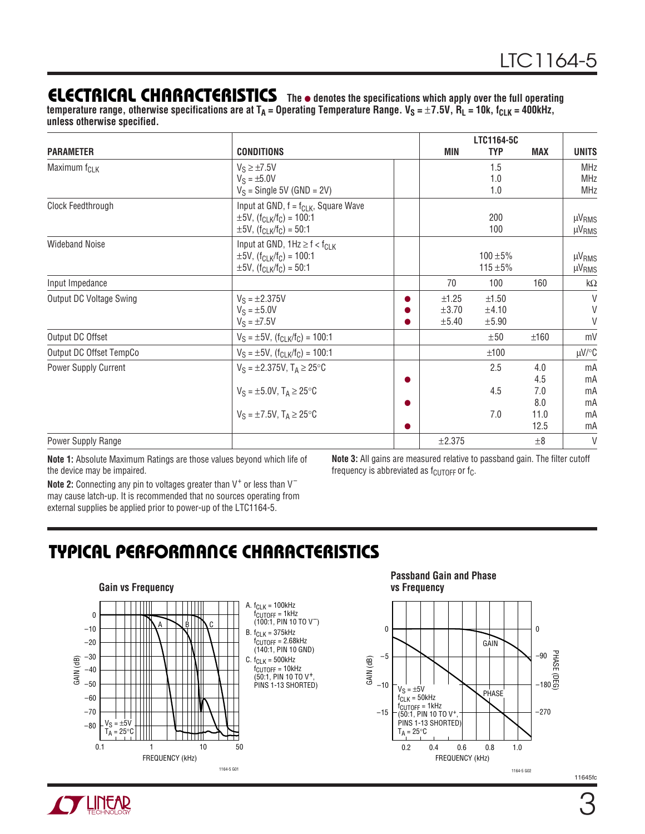### **ELECTRICAL CHARACTERISTICS The** ● **denotes the specifications which apply over the full operating**

temperature range, otherwise specifications are at T<sub>A</sub> = Operating Temperature Range. V<sub>S</sub> = ±7.5V, R<sub>L</sub> = 10k, f<sub>CLK</sub> = 400kHz, **unless otherwise specified.**

| <b>PARAMETER</b>               | <b>CONDITIONS</b>                                                                                                                                            |   | MIN        | LTC1164-5C<br><b>TYP</b>   | <b>MAX</b>   | <b>UNITS</b>                           |
|--------------------------------|--------------------------------------------------------------------------------------------------------------------------------------------------------------|---|------------|----------------------------|--------------|----------------------------------------|
|                                |                                                                                                                                                              |   |            |                            |              |                                        |
| Maximum f <sub>CLK</sub>       | $V_S \ge \pm 7.5V$                                                                                                                                           |   |            | 1.5                        |              | <b>MHz</b>                             |
|                                | $V_S = \pm 5.0 V$<br>$V_S$ = Single 5V (GND = 2V)                                                                                                            |   |            | 1.0<br>1.0                 |              | <b>MHz</b><br><b>MHz</b>               |
| Clock Feedthrough              | Input at GND, $f = f_{CLK}$ , Square Wave<br>$\pm 5V$ , (f <sub>CLK</sub> /f <sub>C</sub> ) = 100:1<br>$\pm 5V$ , (f <sub>CLK</sub> /f <sub>C</sub> ) = 50:1 |   |            | 200<br>100                 |              | $\mu V_{RMS}$<br>µV <sub>RMS</sub>     |
| <b>Wideband Noise</b>          | Input at GND, $1Hz \ge f < f_{ClK}$<br>$\pm 5V$ , (f <sub>CLK</sub> /f <sub>C</sub> ) = 100:1<br>$\pm 5V$ , (f <sub>CLK</sub> /f <sub>C</sub> ) = 50:1       |   |            | $100 + 5%$<br>115 $\pm$ 5% |              | µV <sub>RMS</sub><br>µV <sub>RMS</sub> |
| Input Impedance                |                                                                                                                                                              |   | 70         | 100                        | 160          | k $\Omega$                             |
| <b>Output DC Voltage Swing</b> | $V_S = \pm 2.375V$                                                                                                                                           |   | ±1.25      | $\pm 1.50$                 |              | $\vee$                                 |
|                                | $V_S = \pm 5.0 V$                                                                                                                                            |   | $\pm 3.70$ | ±4.10                      |              | $\vee$                                 |
|                                | $V_S = \pm 7.5V$                                                                                                                                             |   | ±5.40      | ±5.90                      |              | $\vee$                                 |
| Output DC Offset               | $V_S = \pm 5V$ , $(f_{CLK}/f_C) = 100:1$                                                                                                                     |   |            | ±50                        | ±160         | mV                                     |
| Output DC Offset TempCo        | $V_S = \pm 5V$ , $(f_{CLK}/f_C) = 100:1$                                                                                                                     |   |            | ±100                       |              | µV/°C                                  |
| Power Supply Current           | $V_S = \pm 2.375V$ , $T_A \ge 25^{\circ}C$                                                                                                                   |   |            | 2.5                        | 4.0          | mA                                     |
|                                |                                                                                                                                                              |   |            |                            | 4.5          | mA                                     |
|                                | $V_S = \pm 5.0 V$ , $T_A \ge 25^{\circ}C$                                                                                                                    |   |            | 4.5                        | 7.0          | mA                                     |
|                                |                                                                                                                                                              |   |            |                            | 8.0          | mA                                     |
|                                | $V_S = \pm 7.5V$ , $T_A \ge 25^{\circ}C$                                                                                                                     | ● |            | 7.0                        | 11.0<br>12.5 | mA                                     |
|                                |                                                                                                                                                              |   |            |                            |              | mA                                     |
| Power Supply Range             |                                                                                                                                                              |   | ±2.375     |                            | $\pm 8$      | $\vee$                                 |

**Note 1:** Absolute Maximum Ratings are those values beyond which life of the device may be impaired.

Note 2: Connecting any pin to voltages greater than V<sup>+</sup> or less than V<sup>-</sup> may cause latch-up. It is recommended that no sources operating from external supplies be applied prior to power-up of the LTC1164-5.

**Note 3:** All gains are measured relative to passband gain. The filter cutoff frequency is abbreviated as  $f_{\text{CUTOFF}}$  or  $f_{\text{C}}$ .

### **TYPICAL PERFORMANCE CHARACTERISTICS**



**Passband Gain and Phase vs Frequency**



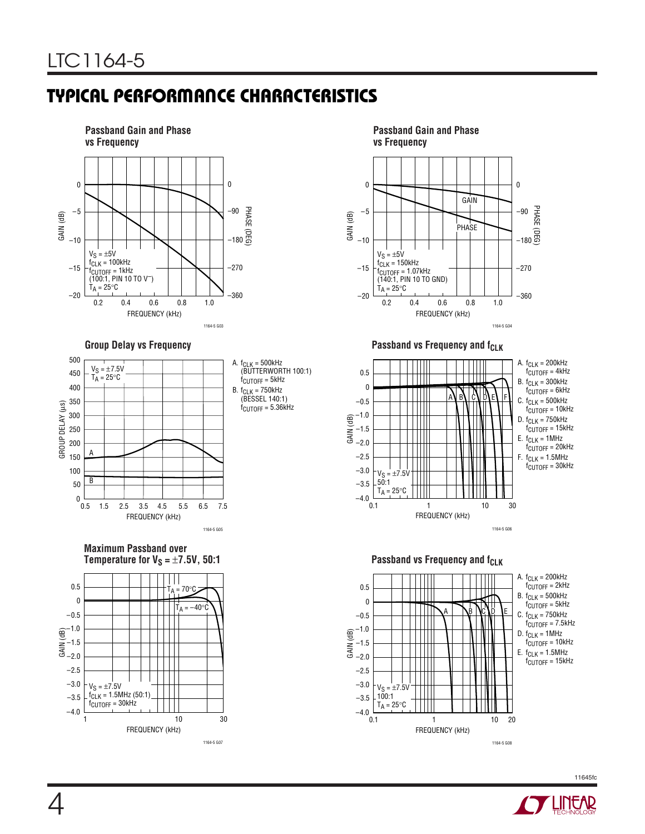# **TYPICAL PERFORMANCE CHARACTERISTICS**





**Maximum Passband over Temperature for**  $V_S = \pm 7.5V$ **, 50:1 Passband vs Frequency and f<sub>CLK</sub>** 



A.  $f_{CLK} = 500$ kHz (BUTTERWORTH 100:1)  $f_{\text{CUTOFF}} = 5$ kHz B. f<sub>CLK</sub> = 750kHz<br>(BESSEL 140:1)  $f_{\text{CUTOFF}} = 5.36\text{kHz}$ 



Group Delay vs Frequency **Passband vs Frequency and f<sub>CLK</sub>** 





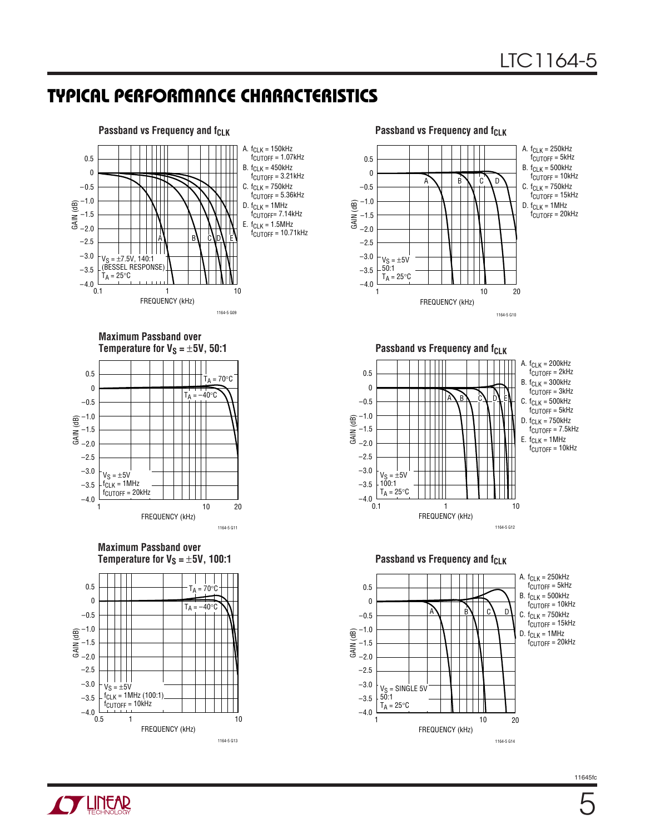### **TYPICAL PERFORMANCE CHARACTERISTICS**



#### **Maximum Passband over Temperature for**  $V_S = \pm 5V$ **, 50:1**









**Passband vs Frequency and fcLK** 





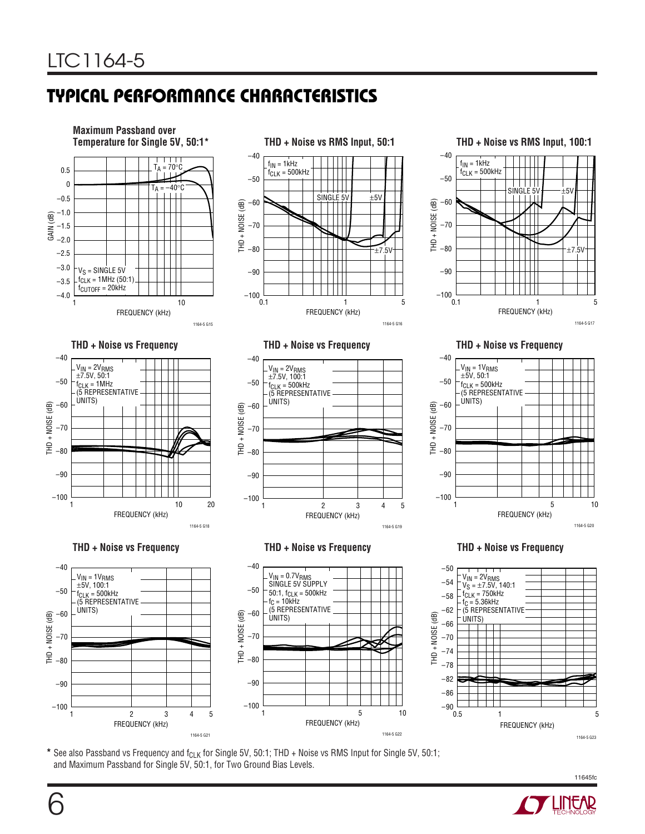# **TYPICAL PERFOR A CE CHARACTERISTICS U W**



\* See also Passband vs Frequency and f<sub>CLK</sub> for Single 5V, 50:1; THD + Noise vs RMS Input for Single 5V, 50:1; and Maximum Passband for Single 5V, 50:1, for Two Ground Bias Levels.

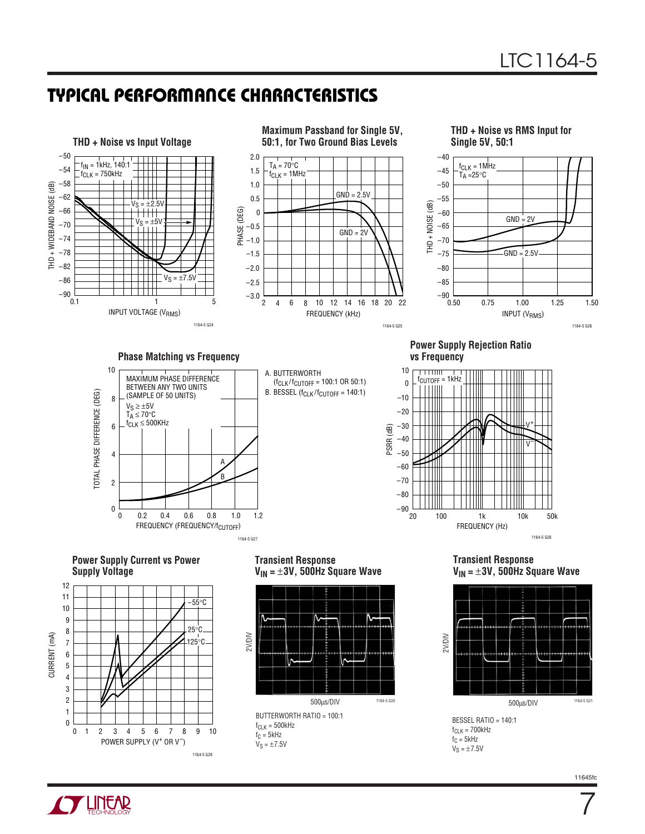### **TYPICAL PERFORMANCE CHARACTERISTICS**



 $f_C = 5kHz$  $V_S = \pm 7.5V$ 

**TUNEAR** 

1164-5 G29

 $V_S = \pm 7.5V$ 

7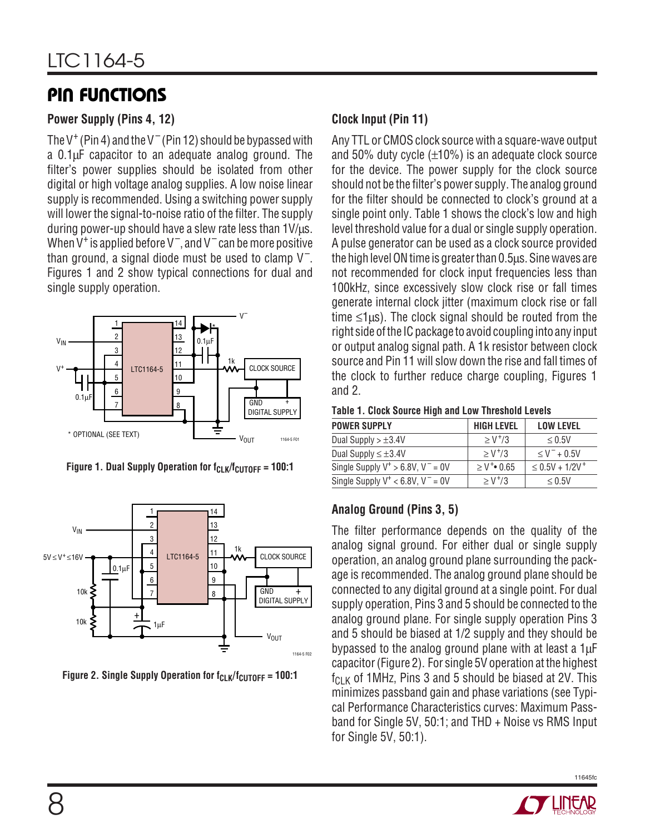### **PIN FUNCTIONS**

### **Power Supply (Pins 4, 12)**

The V<sup>+</sup> (Pin 4) and the V<sup>-</sup> (Pin 12) should be bypassed with a 0.1µF capacitor to an adequate analog ground. The filter's power supplies should be isolated from other digital or high voltage analog supplies. A low noise linear supply is recommended. Using a switching power supply will lower the signal-to-noise ratio of the filter. The supply during power-up should have a slew rate less than 1V/µs. When  $\rm V^+$  is applied before V<sup>-</sup>, and V<sup>-</sup> can be more positive than ground, a signal diode must be used to clamp  $\mathsf{V}^-$ . Figures 1 and 2 show typical connections for dual and single supply operation.



Figure 1. Dual Supply Operation for f<sub>CLK</sub>/f<sub>CUTOFF</sub> = 100:1



Figure 2. Single Supply Operation for f<sub>CLK</sub>/f<sub>CUTOFF</sub> = 100:1

### **Clock Input (Pin 11)**

Any TTL or CMOS clock source with a square-wave output and 50% duty cycle  $(\pm 10\%)$  is an adequate clock source for the device. The power supply for the clock source should not be the filter's power supply. The analog ground for the filter should be connected to clock's ground at a single point only. Table 1 shows the clock's low and high level threshold value for a dual or single supply operation. A pulse generator can be used as a clock source provided the high level ON time is greater than 0.5µs. Sine waves are not recommended for clock input frequencies less than 100kHz, since excessively slow clock rise or fall times generate internal clock jitter (maximum clock rise or fall time  $\leq$ 1µs). The clock signal should be routed from the right side of the IC package to avoid coupling into any input or output analog signal path. A 1k resistor between clock source and Pin 11 will slow down the rise and fall times of the clock to further reduce charge coupling, Figures 1 and 2.

| <b>POWER SUPPLY</b>                     | <b>HIGH LEVEL</b>            | <b>LOW LEVEL</b>             |
|-----------------------------------------|------------------------------|------------------------------|
| Dual Supply $> \pm 3.4V$                | $> V^{+}/3$                  | $\leq 0.5$ V                 |
| Dual Supply $\leq \pm 3.4V$             | $> V^{+}/3$                  | $\leq$ V <sup>-</sup> + 0.5V |
| Single Supply $V^+ > 6.8V$ , $V^- = 0V$ | $\geq$ V <sup>+</sup> • 0.65 | $\leq 0.5V + 1/2V^{+}$       |
| Single Supply $V^+ < 6.8V$ , $V^- = 0V$ | $> V^{+}/3$                  | $\leq 0.5$ V                 |

### **Analog Ground (Pins 3, 5)**

The filter performance depends on the quality of the analog signal ground. For either dual or single supply operation, an analog ground plane surrounding the package is recommended. The analog ground plane should be connected to any digital ground at a single point. For dual supply operation, Pins 3 and 5 should be connected to the analog ground plane. For single supply operation Pins 3 and 5 should be biased at 1/2 supply and they should be bypassed to the analog ground plane with at least a  $1\mu$ F capacitor (Figure 2). For single 5V operation at the highest  $f_{\text{C-K}}$  of 1MHz, Pins 3 and 5 should be biased at 2V. This minimizes passband gain and phase variations (see Typical Performance Characteristics curves: Maximum Passband for Single 5V, 50:1; and THD + Noise vs RMS Input for Single 5V, 50:1).

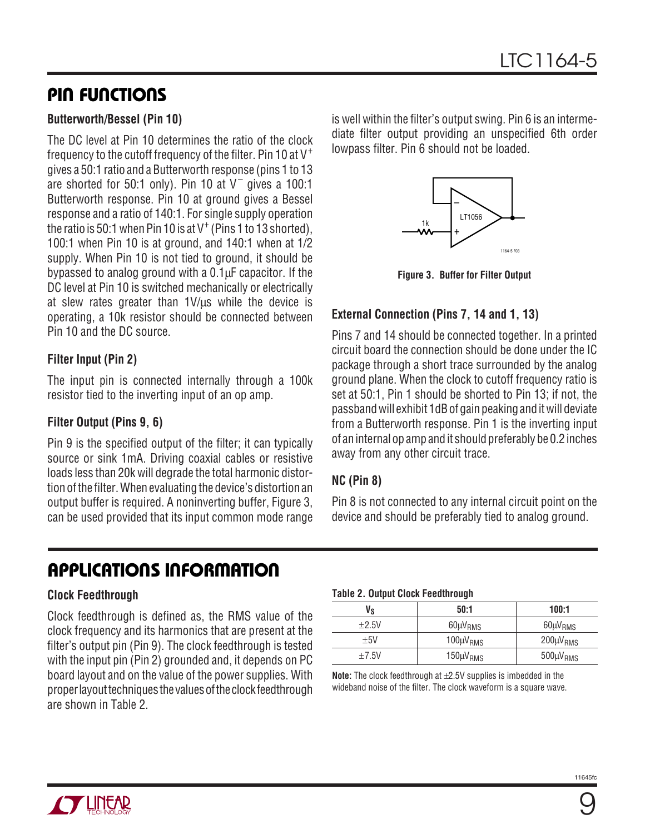### **PIN FUNCTIONS**

#### **Butterworth/Bessel (Pin 10)**

The DC level at Pin 10 determines the ratio of the clock frequency to the cutoff frequency of the filter. Pin 10 at  $V^+$ gives a 50:1 ratio and a Butterworth response (pins 1 to 13 are shorted for 50:1 only). Pin 10 at V<sup>-</sup> gives a 100:1 Butterworth response. Pin 10 at ground gives a Bessel response and a ratio of 140:1. For single supply operation the ratio is 50:1 when Pin 10 is at V $^+$  (Pins 1 to 13 shorted), 100:1 when Pin 10 is at ground, and 140:1 when at 1/2 supply. When Pin 10 is not tied to ground, it should be bypassed to analog ground with a 0.1µF capacitor. If the DC level at Pin 10 is switched mechanically or electrically at slew rates greater than 1V/µs while the device is operating, a 10k resistor should be connected between Pin 10 and the DC source.

### **Filter Input (Pin 2)**

The input pin is connected internally through a 100k resistor tied to the inverting input of an op amp.

#### **Filter Output (Pins 9, 6)**

Pin 9 is the specified output of the filter; it can typically source or sink 1mA. Driving coaxial cables or resistive loads less than 20k will degrade the total harmonic distortion of the filter. When evaluating the device's distortion an output buffer is required. A noninverting buffer, Figure 3, can be used provided that its input common mode range

is well within the filter's output swing. Pin 6 is an intermediate filter output providing an unspecified 6th order lowpass filter. Pin 6 should not be loaded.



**Figure 3. Buffer for Filter Output**

### **External Connection (Pins 7, 14 and 1, 13)**

Pins 7 and 14 should be connected together. In a printed circuit board the connection should be done under the IC package through a short trace surrounded by the analog ground plane. When the clock to cutoff frequency ratio is set at 50:1, Pin 1 should be shorted to Pin 13; if not, the passband will exhibit 1dB of gain peaking and it will deviate from a Butterworth response. Pin 1 is the inverting input of an internal op amp and it should preferably be 0.2 inches away from any other circuit trace.

### **NC (Pin 8)**

Pin 8 is not connected to any internal circuit point on the device and should be preferably tied to analog ground.

# **APPLICATIONS INFORMATION**

### **Clock Feedthrough**

Clock feedthrough is defined as, the RMS value of the clock frequency and its harmonics that are present at the filter's output pin (Pin 9). The clock feedthrough is tested with the input pin (Pin 2) grounded and, it depends on PC board layout and on the value of the power supplies. With proper layout techniques the values of the clock feedthrough are shown in Table 2.

#### **Table 2. Output Clock Feedthrough**

| Vs         | 50:1              | 100:1             |
|------------|-------------------|-------------------|
| $\pm 2.5V$ | $60 \mu V_{RMS}$  | $60 \mu V_{RMS}$  |
| $+5V$      | $100 \mu V_{RMS}$ | $200 \mu V_{RMS}$ |
| $\pm 7.5V$ | $150 \mu V_{RMS}$ | $500 \mu V_{RMS}$ |

**Note:** The clock feedthrough at ±2.5V supplies is imbedded in the wideband noise of the filter. The clock waveform is a square wave.

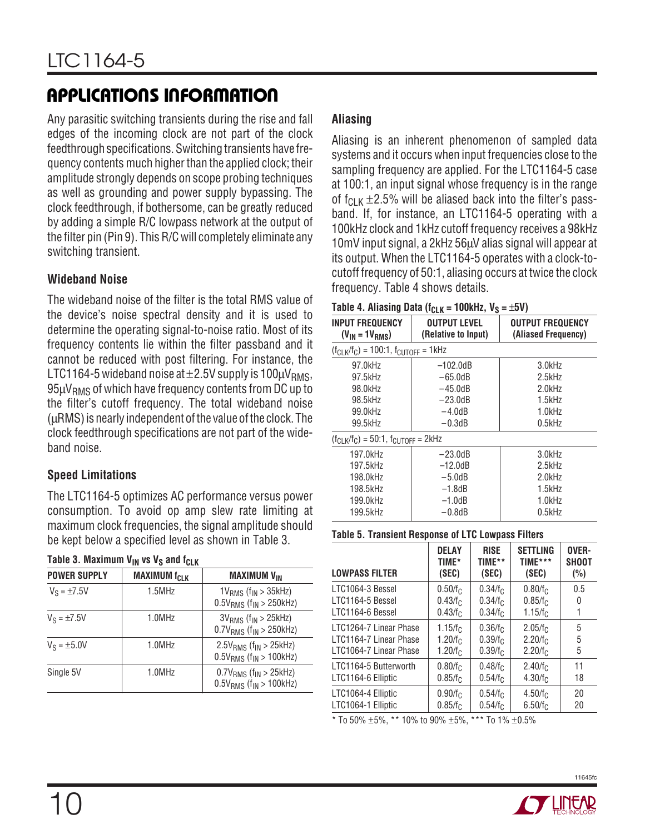# **APPLICATIONS INFORMATION**

Any parasitic switching transients during the rise and fall edges of the incoming clock are not part of the clock feedthrough specifications. Switching transients have frequency contents much higher than the applied clock; their amplitude strongly depends on scope probing techniques as well as grounding and power supply bypassing. The clock feedthrough, if bothersome, can be greatly reduced by adding a simple R/C lowpass network at the output of the filter pin (Pin 9). This R/C will completely eliminate any switching transient.

#### **Wideband Noise**

The wideband noise of the filter is the total RMS value of the device's noise spectral density and it is used to determine the operating signal-to-noise ratio. Most of its frequency contents lie within the filter passband and it cannot be reduced with post filtering. For instance, the LTC1164-5 wideband noise at  $\pm$ 2.5V supply is 100 $\mu$ V<sub>RMS</sub>,  $95\mu V_{RMS}$  of which have frequency contents from DC up to the filter's cutoff frequency. The total wideband noise (µRMS) is nearly independent of the value of the clock. The clock feedthrough specifications are not part of the wideband noise.

### **Speed Limitations**

The LTC1164-5 optimizes AC performance versus power consumption. To avoid op amp slew rate limiting at maximum clock frequencies, the signal amplitude should be kept below a specified level as shown in Table 3.

| Table 3. Maximum V <sub>IN</sub> vs V <sub>S</sub> and f <sub>CLK</sub> |  |  |  |  |
|-------------------------------------------------------------------------|--|--|--|--|
|-------------------------------------------------------------------------|--|--|--|--|

| <br>                |                      |                                                                                   |  |  |
|---------------------|----------------------|-----------------------------------------------------------------------------------|--|--|
| <b>POWER SUPPLY</b> | <b>MAXIMUM</b> fcl K | <b>MAXIMUM V<sub>IN</sub></b>                                                     |  |  |
| $V_S = \pm 7.5V$    | $1.5$ MHz            | $1VRMS$ (f <sub>IN</sub> $>$ 35kHz)<br>$0.5V_{RMS}$ (f <sub>IN</sub> > 250kHz)    |  |  |
| $V_S = \pm 7.5V$    | 1.0MHz               | $3VRMS$ (f <sub>IN</sub> > 25kHz)<br>$0.7VRMS$ (f <sub>IN</sub> > 250kHz)         |  |  |
| $V_S = \pm 5.0V$    | 1.0MHz               | $2.5VRMS$ (f <sub>IN</sub> > 25kHz)<br>$0.5V_{RMS}$ (f <sub>IN</sub> > 100kHz)    |  |  |
| Single 5V           | 1.0MHz               | $0.7V_{RMS}$ (f <sub>IN</sub> > 25kHz)<br>$0.5V_{RMS}$ (f <sub>IN</sub> > 100kHz) |  |  |

### **Aliasing**

Aliasing is an inherent phenomenon of sampled data systems and it occurs when input frequencies close to the sampling frequency are applied. For the LTC1164-5 case at 100:1, an input signal whose frequency is in the range of  $f_{C-K}$   $\pm$ 2.5% will be aliased back into the filter's passband. If, for instance, an LTC1164-5 operating with a 100kHz clock and 1kHz cutoff frequency receives a 98kHz 10mV input signal, a 2kHz 56µV alias signal will appear at its output. When the LTC1164-5 operates with a clock-tocutoff frequency of 50:1, aliasing occurs at twice the clock frequency. Table 4 shows details.

#### **Table 4. Aliasing Data (fcLK = 100kHz, Vs =**  $+5V$ **)**

| <b>INPUT FREQUENCY</b><br>$(V_{IN} = 1V_{RMS})$ | <b>OUTPUT LEVEL</b><br>(Relative to Input) | <b>OUTPUT FREQUENCY</b><br>(Aliased Frequency) |
|-------------------------------------------------|--------------------------------------------|------------------------------------------------|
| $(f_{CLK}/f_{C}) = 100:1, f_{CLTOFF} = 1kHz$    |                                            |                                                |
| 97.0kHz                                         | $-102.0dB$                                 | 3.0kHz                                         |
| 97.5kHz                                         | $-65.0dB$                                  | 2.5kHz                                         |
| 98.0kHz                                         | $-45.0dB$                                  | 2.0kHz                                         |
| 98.5kHz                                         | $-23.0dB$                                  | $1.5$ k $Hz$                                   |
| 99.0kHz                                         | $-4.0dB$                                   | 1.0kHz                                         |
| 99.5kHz                                         | $-0.3dB$                                   | $0.5$ k $Hz$                                   |
| $(f_{CLK}/f_C) = 50:1, f_{CUTOFF} = 2kHz$       |                                            |                                                |
| 197.0kHz                                        | $-23.0dB$                                  | 3.0kHz                                         |
| 197.5kHz                                        | $-12.0dB$                                  | 2.5kHz                                         |
| 198.0kHz                                        | $-5.0$ d $B$                               | 2.0kHz                                         |
| 198.5kHz                                        | $-1.8dB$                                   | $1.5$ k $Hz$                                   |
| 199.0kHz                                        | $-1.0dB$                                   | 1.0kHz                                         |
| 199.5kHz                                        | $-0.8$ d $B$                               | $0.5$ k $Hz$                                   |

#### **Table 5. Transient Response of LTC Lowpass Filters**

| <b>LOWPASS FILTER</b>                                    | <b>DELAY</b>                                             | <b>RISE</b>                            | <b>SETTLING</b>                                 | OVER-        |
|----------------------------------------------------------|----------------------------------------------------------|----------------------------------------|-------------------------------------------------|--------------|
|                                                          | TIME*                                                    | TIME**                                 | TIME***                                         | <b>SHOOT</b> |
|                                                          | (SEC)                                                    | (SEC)                                  | (SEC)                                           | (%)          |
| LTC1064-3 Bessel<br>LTC1164-5 Bessel<br>LTC1164-6 Bessel | $0.50/f_C$<br>0.43/f <sub>C</sub><br>0.43/f <sub>C</sub> | $0.34/f_C$<br>$0.34/f_C$<br>$0.34/f_C$ | $0.80/f_C$<br>$0.85/f_C$<br>1.15/f <sub>C</sub> | 0.5<br>0     |
| LTC1264-7 Linear Phase                                   | 1.15/f <sub>c</sub>                                      | $0.36/f_C$                             | 2.05/f <sub>c</sub>                             | 5            |
| LTC1164-7 Linear Phase                                   | 1.20/f <sub>C</sub>                                      | $0.39/f_C$                             | $2.20/f_C$                                      | 5            |
| LTC1064-7 Linear Phase                                   | 1.20/f <sub>C</sub>                                      | $0.39/f_C$                             | $2.20/f_C$                                      | 5            |
| LTC1164-5 Butterworth                                    | $0.80/f_C$                                               | $0.48/f_C$                             | 2.40/f <sub>C</sub>                             | 11           |
| LTC1164-6 Elliptic                                       | $0.85/f_C$                                               | $0.54/f_C$                             | 4.30/f <sub>C</sub>                             | 18           |
| LTC1064-4 Elliptic                                       | $0.90/f_C$                                               | 0.54/f <sub>C</sub>                    | 4.50/f <sub>C</sub>                             | 20           |
| LTC1064-1 Elliptic                                       | $0.85/f_C$                                               | $0.54/f_C$                             | 6.50/f <sub>C</sub>                             | 20           |

 $*$  To 50%  $\pm$ 5%,  $*$  \* 10% to 90%  $\pm$ 5%,  $*$  \* To 1%  $\pm$ 0.5%

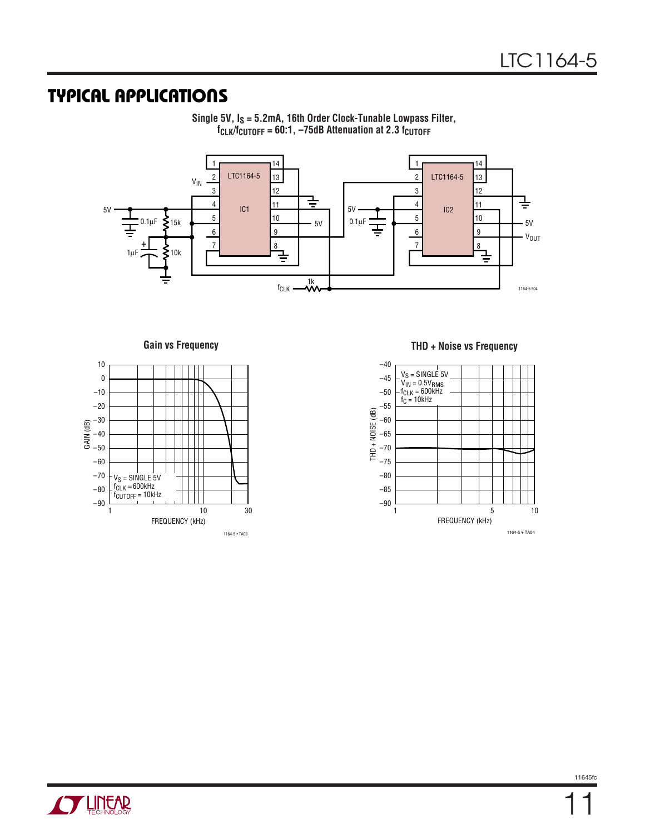### **TYPICAL APPLICATIONS**



**Single 5V, IS = 5.2mA, 16th Order Clock-Tunable Lowpass Filter, fCLK/fCUTOFF = 60:1, –75dB Attenuation at 2.3 fCUTOFF**



**Gain vs Frequency THD + Noise vs Frequency**

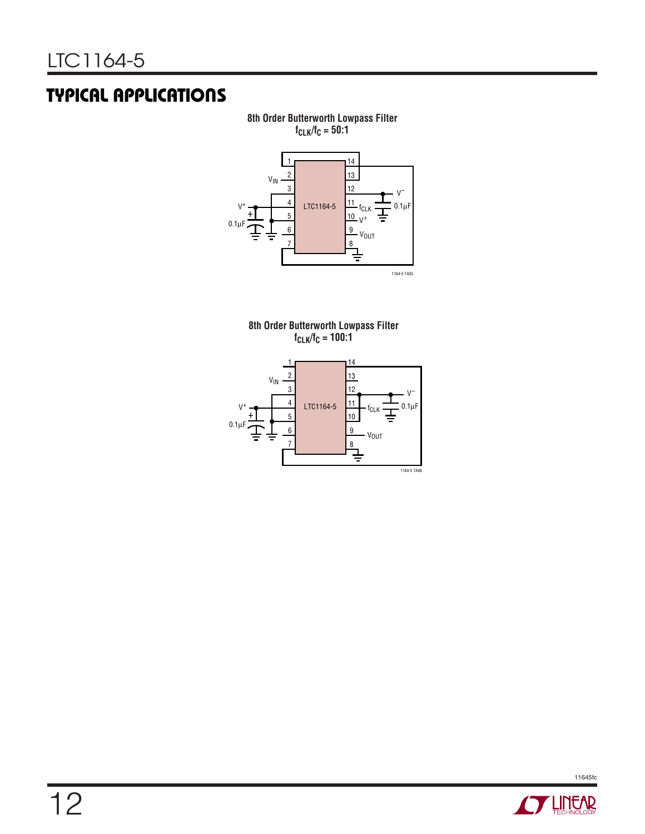# **TYPICAL APPLICATIONS**

**8th Order Butterworth Lowpass Filter fCLK/fC = 50:1**



**8th Order Butterworth Lowpass Filter fCLK/fC = 100:1**



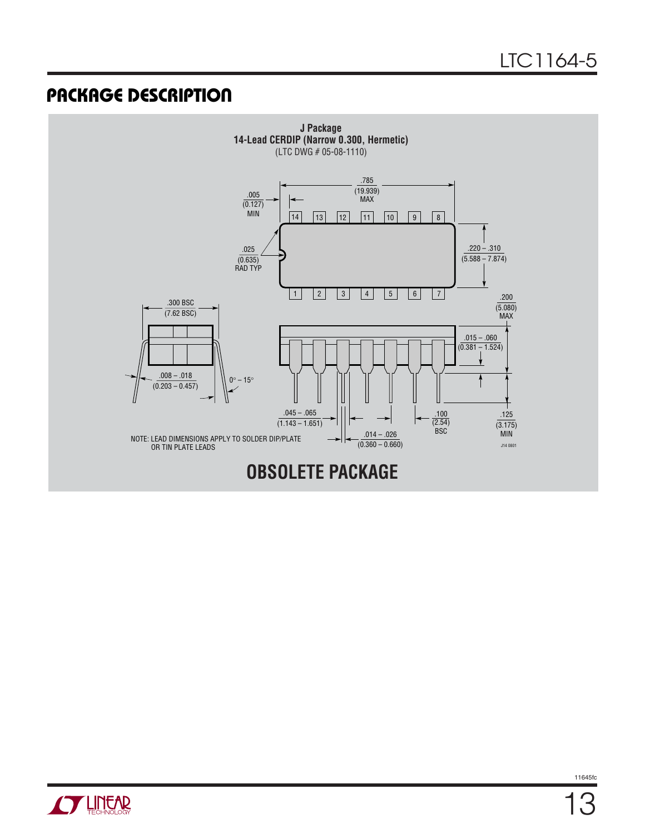### **PACKAGE DESCRIPTION**



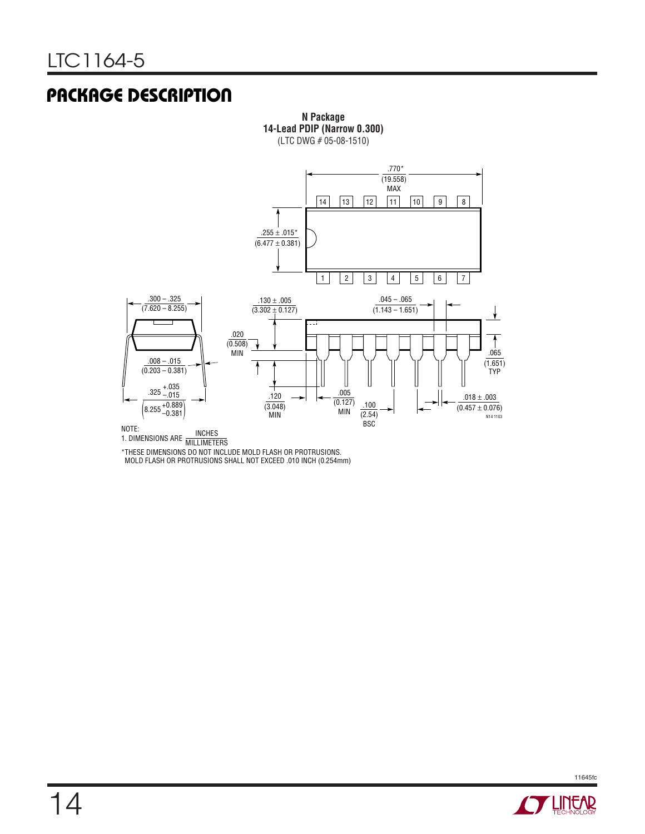### **PACKAGE DESCRIPTION**



**N Package 14-Lead PDIP (Narrow 0.300)**

NOTE:<br>1. DIMENSIONS ARE MILLIMETERS

\*THESE DIMENSIONS DO NOT INCLUDE MOLD FLASH OR PROTRUSIONS.

MOLD FLASH OR PROTRUSIONS SHALL NOT EXCEED .010 INCH (0.254mm)

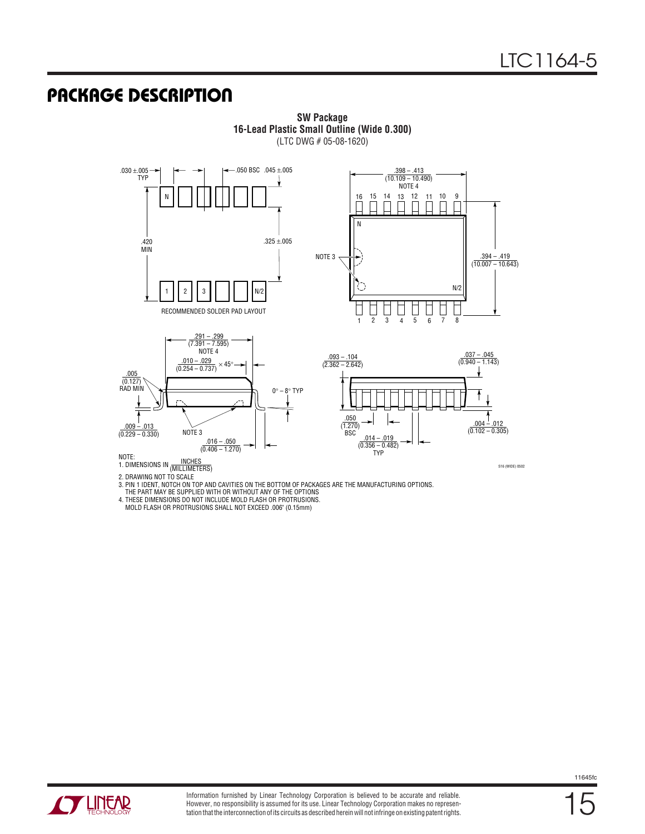S16 (WIDE) 0502

### **PACKAGE DESCRIPTION**



TYP

**SW Package 16-Lead Plastic Small Outline (Wide 0.300)** (LTC DWG # 05-08-1620)

INCHES (MILLIMETERS) NOTE: 1. DIMENSIONS IN

2. DRAWING NOT TO SCALE 3. PIN 1 IDENT, NOTCH ON TOP AND CAVITIES ON THE BOTTOM OF PACKAGES ARE THE MANUFACTURING OPTIONS.

THE PART MAY BE SUPPLIED WITH OR WITHOUT ANY OF THE OPTIONS

4. THESE DIMENSIONS DO NOT INCLUDE MOLD FLASH OR PROTRUSIONS.

MOLD FLASH OR PROTRUSIONS SHALL NOT EXCEED .006" (0.15mm)



15